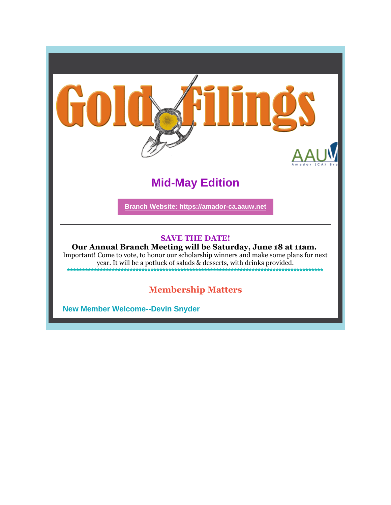

Our Annual Branch Meeting will be Saturday, June 18 at 11am. Important! Come to vote, to honor our scholarship winners and make some plans for next year. It will be a potluck of salads & desserts, with drinks provided. 

**Membership Matters** 

**New Member Welcome--Devin Snyder**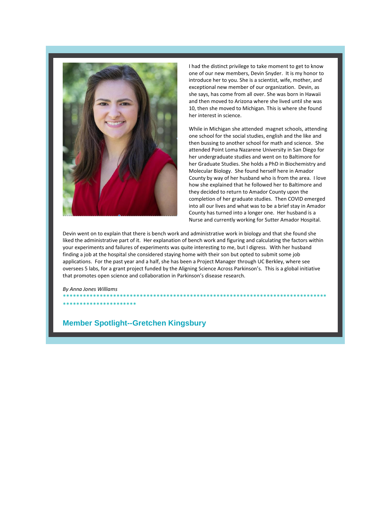

I had the distinct privilege to take moment to get to know one of our new members, Devin Snyder. It is my honor to introduce her to you. She is a scientist, wife, mother, and exceptional new member of our organization. Devin, as she says, has come from all over. She was born in Hawaii and then moved to Arizona where she lived until she was 10, then she moved to Michigan. This is where she found her interest in science.

While in Michigan she attended magnet schools, attending one school for the social studies, english and the like and then bussing to another school for math and science. She attended Point Loma Nazarene University in San Diego for her undergraduate studies and went on to Baltimore for her Graduate Studies. She holds a PhD in Biochemistry and Molecular Biology. She found herself here in Amador County by way of her husband who is from the area. I love how she explained that he followed her to Baltimore and they decided to return to Amador County upon the completion of her graduate studies. Then COVID emerged into all our lives and what was to be a brief stay in Amador County has turned into a longer one. Her husband is a Nurse and currently working for Sutter Amador Hospital.

Devin went on to explain that there is bench work and administrative work in biology and that she found she liked the administrative part of it. Her explanation of bench work and figuring and calculating the factors within your experiments and failures of experiments was quite interesting to me, but I digress. With her husband finding a job at the hospital she considered staying home with their son but opted to submit some job applications. For the past year and a half, she has been a Project Manager through UC Berkley, where see oversees 5 labs, for a grant project funded by the Aligning Science Across Parkinson's. This is a global initiative that promotes open science and collaboration in Parkinson's disease research.

By Anna Jones Williams

**Member Spotlight--Gretchen Kingsbury**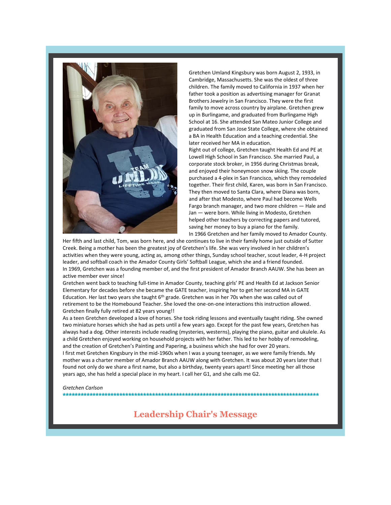

Gretchen Umland Kingsbury was born August 2, 1933, in Cambridge, Massachusetts. She was the oldest of three children. The family moved to California in 1937 when her father took a position as advertising manager for Granat Brothers Jewelry in San Francisco. They were the first family to move across country by airplane. Gretchen grew up in Burlingame, and graduated from Burlingame High School at 16. She attended San Mateo Junior College and graduated from San Jose State College, where she obtained a BA in Health Education and a teaching credential. She later received her MA in education.

Right out of college, Gretchen taught Health Ed and PE at Lowell High School in San Francisco. She married Paul, a corporate stock broker, in 1956 during Christmas break, and enjoyed their honeymoon snow skiing. The couple purchased a 4-plex in San Francisco, which they remodeled together. Their first child, Karen, was born in San Francisco. They then moved to Santa Clara, where Diana was born, and after that Modesto, where Paul had become Wells Fargo branch manager, and two more children — Hale and Jan — were born. While living in Modesto, Gretchen helped other teachers by correcting papers and tutored, saving her money to buy a piano for the family. In 1966 Gretchen and her family moved to Amador County.

Her fifth and last child, Tom, was born here, and she continues to live in their family home just outside of Sutter Creek. Being a mother has been the greatest joy of Gretchen's life. She was very involved in her children's activities when they were young, acting as, among other things, Sunday school teacher, scout leader, 4-H project leader, and softball coach in the Amador County Girls' Softball League, which she and a friend founded. In 1969, Gretchen was a founding member of, and the first president of Amador Branch AAUW. She has been an active member ever since!

Gretchen went back to teaching full-time in Amador County, teaching girls' PE and Health Ed at Jackson Senior Elementary for decades before she became the GATE teacher, inspiring her to get her second MA in GATE Education. Her last two years she taught 6<sup>th</sup> grade. Gretchen was in her 70s when she was called out of retirement to be the Homebound Teacher. She loved the one-on-one interactions this instruction allowed. Gretchen finally fully retired at 82 years young!!

As a teen Gretchen developed a love of horses. She took riding lessons and eventually taught riding. She owned two miniature horses which she had as pets until a few years ago. Except for the past few years, Gretchen has always had a dog. Other interests include reading (mysteries, westerns), playing the piano, guitar and ukulele. As a child Gretchen enjoyed working on household projects with her father. This led to her hobby of remodeling, and the creation of Gretchen's Painting and Papering, a business which she had for over 20 years. I first met Gretchen Kingsbury in the mid-1960s when I was a young teenager, as we were family friends. My mother was a charter member of Amador Branch AAUW along with Gretchen. It was about 20 years later that I found not only do we share a first name, but also a birthday, twenty years apart! Since meeting her all those years ago, she has held a special place in my heart. I call her G1, and she calls me G2.

#### *Gretchen Carlson*

# **Leadership Chair's Message**

**\*\*\*\*\*\*\*\*\*\*\*\*\*\*\*\*\*\*\*\*\*\*\*\*\*\*\*\*\*\*\*\*\*\*\*\*\*\*\*\*\*\*\*\*\*\*\*\*\*\*\*\*\*\*\*\*\*\*\*\*\*\*\*\*\*\*\*\*\*\*\*\*\*\*\*\*\*\*\*\*\*\*\*\*\*\***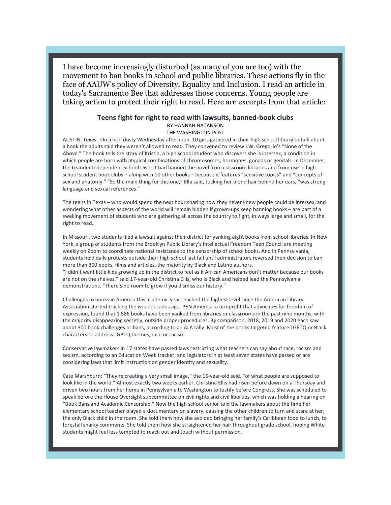I have become increasingly disturbed (as many of you are too) with the movement to ban books in school and public libraries. These actions fly in the face of AAUW's policy of Diversity, Equality and Inclusion. I read an article in today's Sacramento Bee that addresses those concerns. Young people are taking action to protect their right to read. Here are excerpts from that article:

## **Teens fight for right to read with lawsuits, banned-book clubs** BY HANNAH NATANSON

THE WASHINGTON POST

AUSTIN, Texas. On a hot, dusty Wednesday afternoon, 10 girls gathered in their high school library to talk about a book the adults said they weren't allowed to read. They convened to review I.W. Gregorio's "None of the Above." The book tells the story of Kristin, a high school student who discovers she is intersex, a condition in which people are born with atypical combinations of chromosomes, hormones, gonads or genitals. In December, the Leander Independent School District had banned the novel from classroom libraries and from use in high school student book clubs – along with 10 other books – because it features "sensitive topics" and "concepts of sex and anatomy." "So the main thing for this one," Ella said, tucking her blond hair behind her ears, "was strong language and sexual references."

The teens in Texas – who would spend the next hour sharing how they never knew people could be intersex, and wondering what other aspects of the world will remain hidden if grown-ups keep banning books – are part of a swelling movement of students who are gathering all across the country to fight, in ways large and small, for the right to read.

In Missouri, two students filed a lawsuit against their district for yanking eight books from school libraries. In New York, a group of students from the Brooklyn Public Library's Intellectual Freedom Teen Council are meeting weekly on Zoom to coordinate national resistance to the censorship of school books. And in Pennsylvania, students held daily protests outside their high school last fall until administrators reversed their decision to ban more than 300 books, films and articles, the majority by Black and Latino authors. "I didn't want little kids growing up in the district to feel as if African Americans don't matter because our books are not on the shelves," said 17-year-old Christina Ellis, who is Black and helped lead the Pennsylvania demonstrations. "There's no room to grow if you dismiss our history."

Challenges to books in America this academic year reached the highest level since the American Library Association started tracking the issue decades ago. PEN America, a nonprofit that advocates for freedom of expression, found that 1,586 books have been yanked from libraries or classrooms in the past nine months, with the majority disappearing secretly, outside proper procedures. By comparison, 2018, 2019 and 2020 each saw about 300 book challenges or bans, according to an ALA tally. Most of the books targeted feature LGBTQ or Black characters or address LGBTQ themes, race or racism.

Conservative lawmakers in 17 states have passed laws restricting what teachers can say about race, racism and sexism, according to an Education Week tracker, and legislators in at least seven states have passed or are considering laws that limit instruction on gender identity and sexuality.

Cate Marshburn: "They're creating a very small image," the 16-year-old said, "of what people are supposed to look like in the world." Almost exactly two weeks earlier, Christina Ellis had risen before dawn on a Thursday and driven two hours from her home in Pennsylvania to Washington to testify before Congress. She was scheduled to speak before the House Oversight subcommittee on civil rights and civil liberties, which was holding a hearing on "Book Bans and Academic Censorship." Now the high school senior told the lawmakers about the time her elementary school teacher played a documentary on slavery, causing the other children to turn and stare at her, the only Black child in the room. She told them how she avoided bringing her family's Caribbean food to lunch, to forestall snarky comments. She told them how she straightened her hair throughout grade school, hoping White students might feel less tempted to reach out and touch without permission.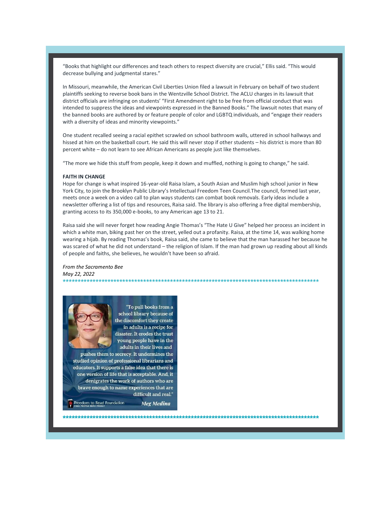"Books that highlight our differences and teach others to respect diversity are crucial," Ellis said. "This would decrease bullying and judgmental stares."

In Missouri, meanwhile, the American Civil Liberties Union filed a lawsuit in February on behalf of two student plaintiffs seeking to reverse book bans in the Wentzville School District. The ACLU charges in its lawsuit that district officials are infringing on students' "First Amendment right to be free from official conduct that was intended to suppress the ideas and viewpoints expressed in the Banned Books." The lawsuit notes that many of the banned books are authored by or feature people of color and LGBTQ individuals, and "engage their readers with a diversity of ideas and minority viewpoints."

One student recalled seeing a racial epithet scrawled on school bathroom walls, uttered in school hallways and hissed at him on the basketball court. He said this will never stop if other students – his district is more than 80 percent white – do not learn to see African Americans as people just like themselves.

"The more we hide this stuff from people, keep it down and muffled, nothing is going to change," he said.

### **FAITH IN CHANGE**

Hope for change is what inspired 16-year-old Raisa Islam, a South Asian and Muslim high school junior in New York City, to join the Brooklyn Public Library's Intellectual Freedom Teen Council.The council, formed last year, meets once a week on a video call to plan ways students can combat book removals. Early ideas include a newsletter offering a list of tips and resources, Raisa said. The library is also offering a free digital membership, granting access to its 350,000 e-books, to any American age 13 to 21.

Raisa said she will never forget how reading Angie Thomas's "The Hate U Give" helped her process an incident in which a white man, biking past her on the street, yelled out a profanity. Raisa, at the time 14, was walking home wearing a hijab. By reading Thomas's book, Raisa said, she came to believe that the man harassed her because he was scared of what he did not understand – the religion of Islam. If the man had grown up reading about all kinds of people and faiths, she believes, he wouldn't have been so afraid.

\*\*\*\*\*\*\*\*\*\*\*\*\*\*\*\*\*\*\*\*\*\*\*\*\*\*\*\*\*\*\*\*\*\*\*\*\*\*\*\*\*\*\*\*\*\*\*\*\*\*\*\*\*\*\*\*\*\*\*\*\*\*\*\*\*\*\*\*\*\*\*\*\*\*\*\*\*\*\*\*\*\*\*\*\*\*

**\*\*\*\*\*\*\*\*\*\*\*\*\*\*\*\*\*\*\*\*\*\*\*\*\*\*\*\*\*\*\*\*\*\*\*\*\*\*\*\*\*\*\*\*\*\*\*\*\*\*\*\*\*\*\*\*\*\*\*\*\*\*\*\*\*\*\*\*\*\*\*\*\*\*\*\*\*\*\*\*\*\*\*\*\*\***

*From the Sacramento Bee May 22, 2022*



"To pull books from a school library because of the discomfort they create in adults is a recipe for disaster. It erodes the trust young people have in the adults in their lives and

**Meg Medina** 

pushes them to secrecy. It undermines the studied opinion of professional librarians and educators. It supports a false idea that there is one version of life that is acceptable. And, it denigrates the work of authors who are brave enough to name experiences that are difficult and real."

Freedom to Read Foundation